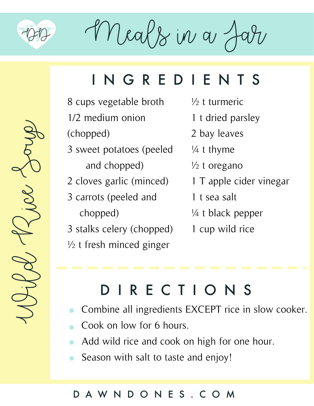

Wild Rice Soup

 $M$ eals in a

## INGREDIENTS

- 8 cups vegetable broth 1/2 medium onion (chopped)
- 3 sweet potatoes (peeled and chopped)
- 2 cloves garlic (minced)
- 3 carrots (peeled and chopped)

3 stalks celery (chopped)  $\frac{1}{2}$  t fresh minced ginger

- ½ t turmeric
- 1 t dried parsley
- 2 bay leaves
- ¼ t thyme
- $\frac{1}{2}$  t oregano
- 1 T apple cider vinegar
- 1 t sea salt
- ¼ t black pepper
- 1 cup wild rice

# DIRECTIONS

- Combine all ingredients EXCEPT rice in slow cooker.
- Cook on low for 6 hours.  $\bullet$
- Add wild rice and cook on high for one hour.
- Season with salt to taste and enjoy!  $\bullet$

### DAWNDONES.COM